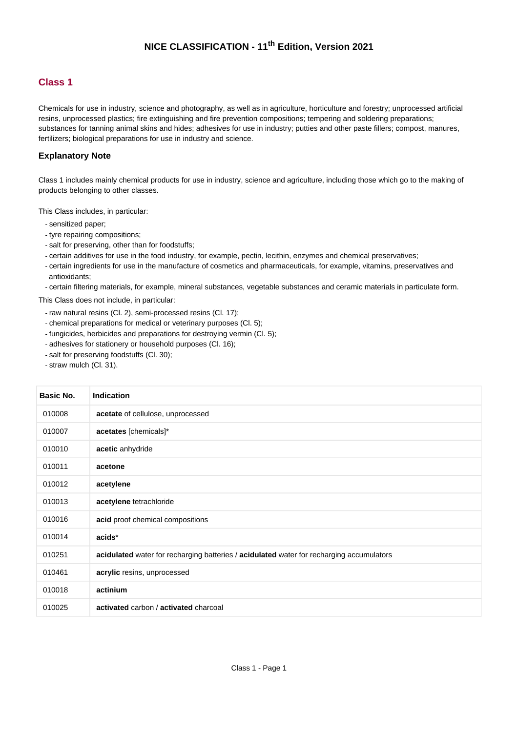#### **Class 1**

Chemicals for use in industry, science and photography, as well as in agriculture, horticulture and forestry; unprocessed artificial resins, unprocessed plastics; fire extinguishing and fire prevention compositions; tempering and soldering preparations; substances for tanning animal skins and hides; adhesives for use in industry; putties and other paste fillers; compost, manures, fertilizers; biological preparations for use in industry and science.

#### **Explanatory Note**

Class 1 includes mainly chemical products for use in industry, science and agriculture, including those which go to the making of products belonging to other classes.

This Class includes, in particular:

- sensitized paper;
- tyre repairing compositions;
- salt for preserving, other than for foodstuffs;
- certain additives for use in the food industry, for example, pectin, lecithin, enzymes and chemical preservatives;

- certain ingredients for use in the manufacture of cosmetics and pharmaceuticals, for example, vitamins, preservatives and antioxidants;

- certain filtering materials, for example, mineral substances, vegetable substances and ceramic materials in particulate form.

This Class does not include, in particular:

- raw natural resins (Cl. 2), semi-processed resins (Cl. 17);
- chemical preparations for medical or veterinary purposes (Cl. 5);
- fungicides, herbicides and preparations for destroying vermin (Cl. 5);
- adhesives for stationery or household purposes (Cl. 16);
- salt for preserving foodstuffs (Cl. 30);
- straw mulch (Cl. 31).

| Basic No. | <b>Indication</b>                                                                        |
|-----------|------------------------------------------------------------------------------------------|
| 010008    | acetate of cellulose, unprocessed                                                        |
| 010007    | acetates [chemicals]*                                                                    |
| 010010    | acetic anhydride                                                                         |
| 010011    | acetone                                                                                  |
| 010012    | acetylene                                                                                |
| 010013    | acetylene tetrachloride                                                                  |
| 010016    | acid proof chemical compositions                                                         |
| 010014    | acids*                                                                                   |
| 010251    | acidulated water for recharging batteries / acidulated water for recharging accumulators |
| 010461    | acrylic resins, unprocessed                                                              |
| 010018    | actinium                                                                                 |
| 010025    | activated carbon / activated charcoal                                                    |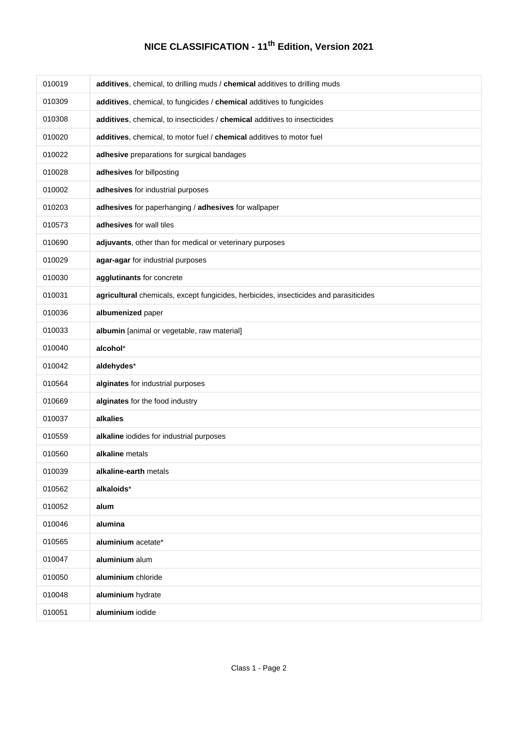| 010019 | additives, chemical, to drilling muds / chemical additives to drilling muds           |
|--------|---------------------------------------------------------------------------------------|
| 010309 | additives, chemical, to fungicides / chemical additives to fungicides                 |
| 010308 | additives, chemical, to insecticides / chemical additives to insecticides             |
| 010020 | additives, chemical, to motor fuel / chemical additives to motor fuel                 |
| 010022 | adhesive preparations for surgical bandages                                           |
| 010028 | adhesives for billposting                                                             |
| 010002 | adhesives for industrial purposes                                                     |
| 010203 | adhesives for paperhanging / adhesives for wallpaper                                  |
| 010573 | adhesives for wall tiles                                                              |
| 010690 | adjuvants, other than for medical or veterinary purposes                              |
| 010029 | agar-agar for industrial purposes                                                     |
| 010030 | agglutinants for concrete                                                             |
| 010031 | agricultural chemicals, except fungicides, herbicides, insecticides and parasiticides |
| 010036 | albumenized paper                                                                     |
| 010033 | albumin [animal or vegetable, raw material]                                           |
| 010040 | alcohol*                                                                              |
| 010042 | aldehydes*                                                                            |
| 010564 | alginates for industrial purposes                                                     |
| 010669 | alginates for the food industry                                                       |
| 010037 | alkalies                                                                              |
| 010559 | alkaline iodides for industrial purposes                                              |
| 010560 | alkaline metals                                                                       |
| 010039 | alkaline-earth metals                                                                 |
| 010562 | alkaloids*                                                                            |
| 010052 | alum                                                                                  |
| 010046 | alumina                                                                               |
| 010565 | aluminium acetate*                                                                    |
| 010047 | aluminium alum                                                                        |
| 010050 | aluminium chloride                                                                    |
| 010048 | aluminium hydrate                                                                     |
| 010051 | aluminium iodide                                                                      |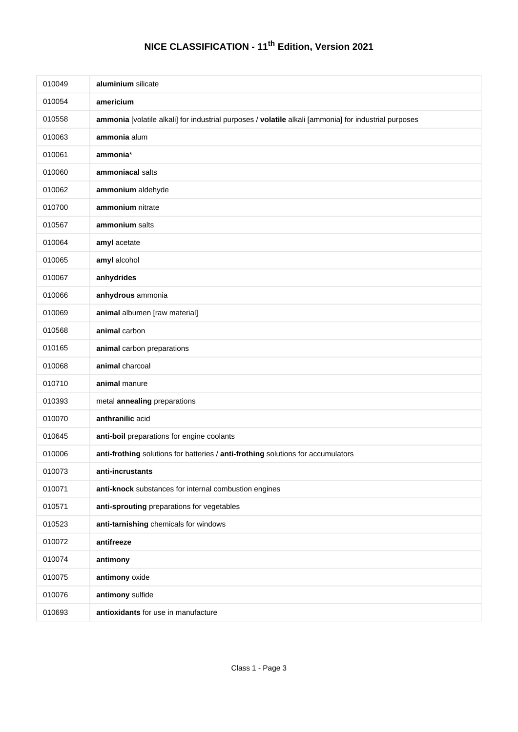| 010049 | aluminium silicate                                                                                    |
|--------|-------------------------------------------------------------------------------------------------------|
| 010054 | americium                                                                                             |
| 010558 | ammonia [volatile alkali] for industrial purposes / volatile alkali [ammonia] for industrial purposes |
| 010063 | ammonia alum                                                                                          |
| 010061 | ammonia*                                                                                              |
| 010060 | ammoniacal salts                                                                                      |
| 010062 | ammonium aldehyde                                                                                     |
| 010700 | ammonium nitrate                                                                                      |
| 010567 | ammonium salts                                                                                        |
| 010064 | amyl acetate                                                                                          |
| 010065 | amyl alcohol                                                                                          |
| 010067 | anhydrides                                                                                            |
| 010066 | anhydrous ammonia                                                                                     |
| 010069 | animal albumen [raw material]                                                                         |
| 010568 | animal carbon                                                                                         |
| 010165 | animal carbon preparations                                                                            |
| 010068 | animal charcoal                                                                                       |
| 010710 | animal manure                                                                                         |
| 010393 | metal annealing preparations                                                                          |
| 010070 | anthranilic acid                                                                                      |
| 010645 | anti-boil preparations for engine coolants                                                            |
| 010006 | anti-frothing solutions for batteries / anti-frothing solutions for accumulators                      |
| 010073 | anti-incrustants                                                                                      |
| 010071 | anti-knock substances for internal combustion engines                                                 |
| 010571 | anti-sprouting preparations for vegetables                                                            |
| 010523 | anti-tarnishing chemicals for windows                                                                 |
| 010072 | antifreeze                                                                                            |
| 010074 | antimony                                                                                              |
| 010075 | antimony oxide                                                                                        |
| 010076 | antimony sulfide                                                                                      |
| 010693 | antioxidants for use in manufacture                                                                   |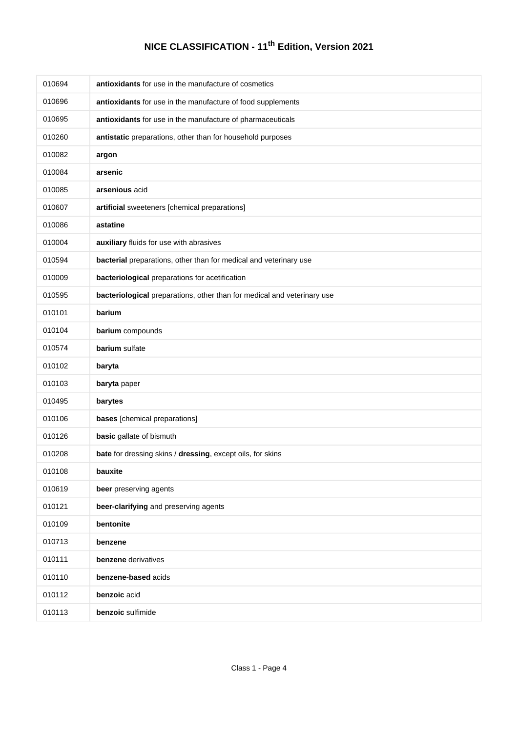| 010694 | antioxidants for use in the manufacture of cosmetics                    |
|--------|-------------------------------------------------------------------------|
| 010696 | antioxidants for use in the manufacture of food supplements             |
| 010695 | antioxidants for use in the manufacture of pharmaceuticals              |
| 010260 | antistatic preparations, other than for household purposes              |
| 010082 | argon                                                                   |
| 010084 | arsenic                                                                 |
| 010085 | arsenious acid                                                          |
| 010607 | artificial sweeteners [chemical preparations]                           |
| 010086 | astatine                                                                |
| 010004 | auxiliary fluids for use with abrasives                                 |
| 010594 | bacterial preparations, other than for medical and veterinary use       |
| 010009 | bacteriological preparations for acetification                          |
| 010595 | bacteriological preparations, other than for medical and veterinary use |
| 010101 | barium                                                                  |
| 010104 | barium compounds                                                        |
| 010574 | barium sulfate                                                          |
| 010102 | baryta                                                                  |
| 010103 | baryta paper                                                            |
| 010495 | barytes                                                                 |
| 010106 | bases [chemical preparations]                                           |
| 010126 | basic gallate of bismuth                                                |
| 010208 | bate for dressing skins / dressing, except oils, for skins              |
| 010108 | bauxite                                                                 |
| 010619 | beer preserving agents                                                  |
| 010121 | beer-clarifying and preserving agents                                   |
| 010109 | bentonite                                                               |
| 010713 | benzene                                                                 |
| 010111 | benzene derivatives                                                     |
| 010110 | benzene-based acids                                                     |
| 010112 | benzoic acid                                                            |
| 010113 | benzoic sulfimide                                                       |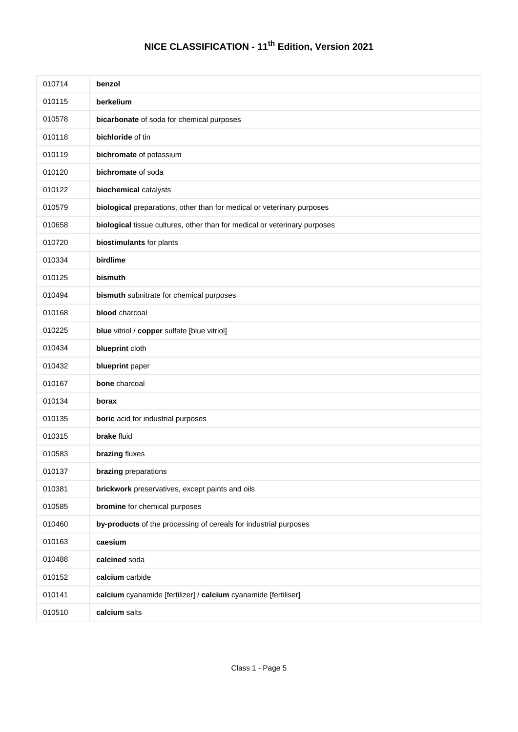| 010714 | benzol                                                                    |
|--------|---------------------------------------------------------------------------|
| 010115 | berkelium                                                                 |
| 010578 | bicarbonate of soda for chemical purposes                                 |
| 010118 | bichloride of tin                                                         |
| 010119 | bichromate of potassium                                                   |
| 010120 | bichromate of soda                                                        |
| 010122 | biochemical catalysts                                                     |
| 010579 | biological preparations, other than for medical or veterinary purposes    |
| 010658 | biological tissue cultures, other than for medical or veterinary purposes |
| 010720 | biostimulants for plants                                                  |
| 010334 | birdlime                                                                  |
| 010125 | bismuth                                                                   |
| 010494 | bismuth subnitrate for chemical purposes                                  |
| 010168 | blood charcoal                                                            |
| 010225 | blue vitriol / copper sulfate [blue vitriol]                              |
| 010434 | blueprint cloth                                                           |
| 010432 | blueprint paper                                                           |
| 010167 | bone charcoal                                                             |
| 010134 | borax                                                                     |
| 010135 | boric acid for industrial purposes                                        |
| 010315 | <b>brake</b> fluid                                                        |
| 010583 | brazing fluxes                                                            |
| 010137 | brazing preparations                                                      |
| 010381 | brickwork preservatives, except paints and oils                           |
| 010585 | bromine for chemical purposes                                             |
| 010460 | by-products of the processing of cereals for industrial purposes          |
| 010163 | caesium                                                                   |
| 010488 | calcined soda                                                             |
| 010152 | calcium carbide                                                           |
| 010141 | calcium cyanamide [fertilizer] / calcium cyanamide [fertiliser]           |
| 010510 | calcium salts                                                             |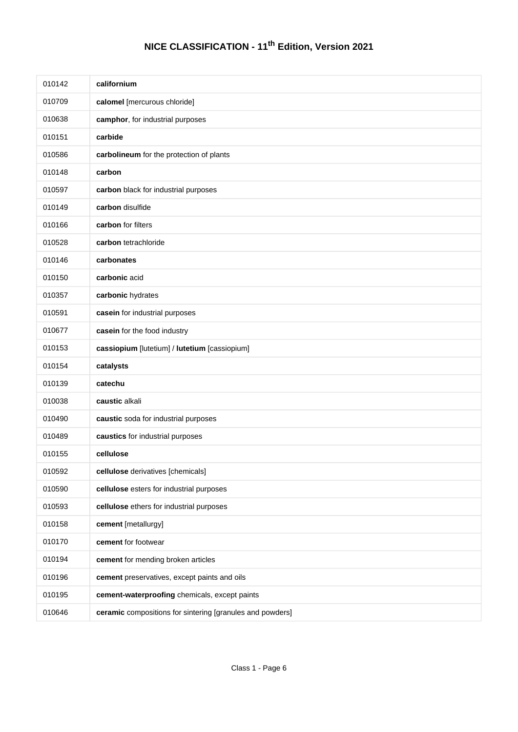| 010142 | californium                                               |
|--------|-----------------------------------------------------------|
| 010709 | calomel [mercurous chloride]                              |
| 010638 | camphor, for industrial purposes                          |
| 010151 | carbide                                                   |
| 010586 | carbolineum for the protection of plants                  |
| 010148 | carbon                                                    |
| 010597 | carbon black for industrial purposes                      |
| 010149 | carbon disulfide                                          |
| 010166 | carbon for filters                                        |
| 010528 | carbon tetrachloride                                      |
| 010146 | carbonates                                                |
| 010150 | carbonic acid                                             |
| 010357 | carbonic hydrates                                         |
| 010591 | casein for industrial purposes                            |
| 010677 | casein for the food industry                              |
| 010153 | cassiopium [lutetium] / lutetium [cassiopium]             |
| 010154 | catalysts                                                 |
| 010139 | catechu                                                   |
| 010038 | caustic alkali                                            |
| 010490 | caustic soda for industrial purposes                      |
| 010489 | caustics for industrial purposes                          |
| 010155 | cellulose                                                 |
| 010592 | cellulose derivatives [chemicals]                         |
| 010590 | cellulose esters for industrial purposes                  |
| 010593 | cellulose ethers for industrial purposes                  |
| 010158 | cement [metallurgy]                                       |
| 010170 | cement for footwear                                       |
| 010194 | cement for mending broken articles                        |
| 010196 | cement preservatives, except paints and oils              |
| 010195 | cement-waterproofing chemicals, except paints             |
| 010646 | ceramic compositions for sintering [granules and powders] |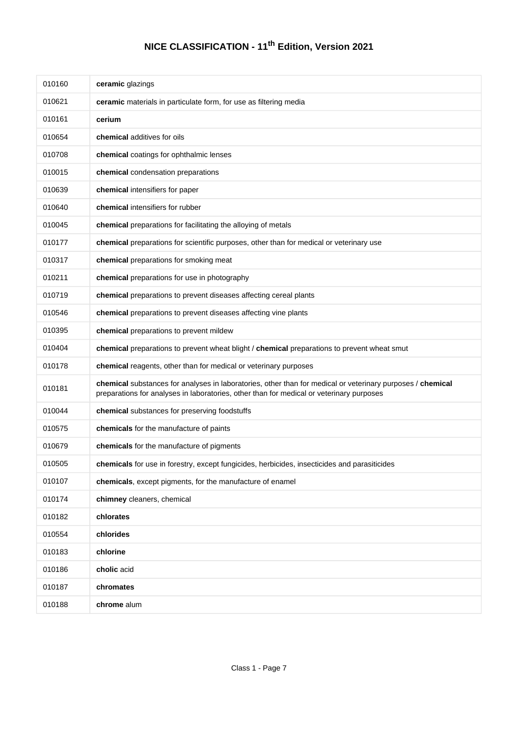| 010160 | ceramic glazings                                                                                                                                                                                       |
|--------|--------------------------------------------------------------------------------------------------------------------------------------------------------------------------------------------------------|
| 010621 | ceramic materials in particulate form, for use as filtering media                                                                                                                                      |
| 010161 | cerium                                                                                                                                                                                                 |
| 010654 | chemical additives for oils                                                                                                                                                                            |
| 010708 | chemical coatings for ophthalmic lenses                                                                                                                                                                |
| 010015 | chemical condensation preparations                                                                                                                                                                     |
| 010639 | chemical intensifiers for paper                                                                                                                                                                        |
| 010640 | chemical intensifiers for rubber                                                                                                                                                                       |
| 010045 | chemical preparations for facilitating the alloying of metals                                                                                                                                          |
| 010177 | chemical preparations for scientific purposes, other than for medical or veterinary use                                                                                                                |
| 010317 | chemical preparations for smoking meat                                                                                                                                                                 |
| 010211 | chemical preparations for use in photography                                                                                                                                                           |
| 010719 | chemical preparations to prevent diseases affecting cereal plants                                                                                                                                      |
| 010546 | chemical preparations to prevent diseases affecting vine plants                                                                                                                                        |
| 010395 | chemical preparations to prevent mildew                                                                                                                                                                |
| 010404 | chemical preparations to prevent wheat blight / chemical preparations to prevent wheat smut                                                                                                            |
| 010178 | chemical reagents, other than for medical or veterinary purposes                                                                                                                                       |
| 010181 | chemical substances for analyses in laboratories, other than for medical or veterinary purposes / chemical<br>preparations for analyses in laboratories, other than for medical or veterinary purposes |
| 010044 | chemical substances for preserving foodstuffs                                                                                                                                                          |
| 010575 | chemicals for the manufacture of paints                                                                                                                                                                |
| 010679 | chemicals for the manufacture of pigments                                                                                                                                                              |
| 010505 | chemicals for use in forestry, except fungicides, herbicides, insecticides and parasiticides                                                                                                           |
| 010107 | chemicals, except pigments, for the manufacture of enamel                                                                                                                                              |
| 010174 | chimney cleaners, chemical                                                                                                                                                                             |
| 010182 | chlorates                                                                                                                                                                                              |
| 010554 | chlorides                                                                                                                                                                                              |
| 010183 | chlorine                                                                                                                                                                                               |
| 010186 | cholic acid                                                                                                                                                                                            |
| 010187 | chromates                                                                                                                                                                                              |
| 010188 | chrome alum                                                                                                                                                                                            |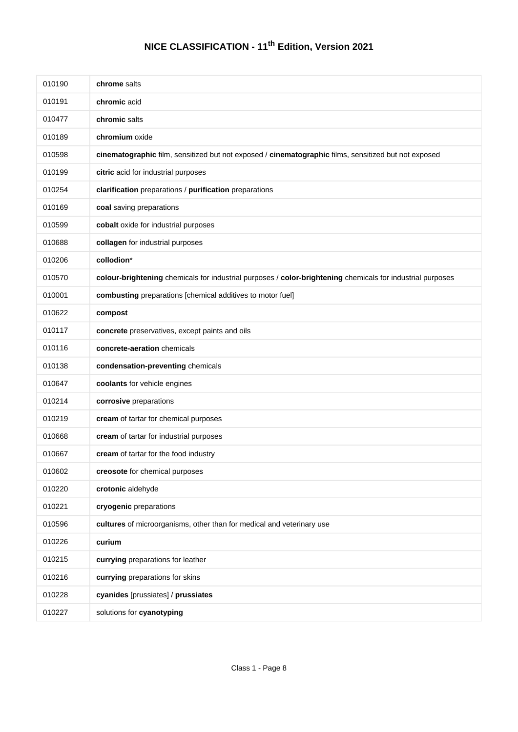| 010190 | chrome salts                                                                                               |
|--------|------------------------------------------------------------------------------------------------------------|
| 010191 | chromic acid                                                                                               |
| 010477 | chromic salts                                                                                              |
| 010189 | chromium oxide                                                                                             |
| 010598 | cinematographic film, sensitized but not exposed / cinematographic films, sensitized but not exposed       |
| 010199 | citric acid for industrial purposes                                                                        |
| 010254 | clarification preparations / purification preparations                                                     |
| 010169 | coal saving preparations                                                                                   |
| 010599 | cobalt oxide for industrial purposes                                                                       |
| 010688 | collagen for industrial purposes                                                                           |
| 010206 | collodion*                                                                                                 |
| 010570 | colour-brightening chemicals for industrial purposes / color-brightening chemicals for industrial purposes |
| 010001 | combusting preparations [chemical additives to motor fuel]                                                 |
| 010622 | compost                                                                                                    |
| 010117 | concrete preservatives, except paints and oils                                                             |
| 010116 | concrete-aeration chemicals                                                                                |
| 010138 | condensation-preventing chemicals                                                                          |
| 010647 | coolants for vehicle engines                                                                               |
| 010214 | corrosive preparations                                                                                     |
| 010219 | cream of tartar for chemical purposes                                                                      |
| 010668 | cream of tartar for industrial purposes                                                                    |
| 010667 | cream of tartar for the food industry                                                                      |
| 010602 | creosote for chemical purposes                                                                             |
| 010220 | crotonic aldehyde                                                                                          |
| 010221 | cryogenic preparations                                                                                     |
| 010596 | cultures of microorganisms, other than for medical and veterinary use                                      |
| 010226 | curium                                                                                                     |
| 010215 | currying preparations for leather                                                                          |
| 010216 | currying preparations for skins                                                                            |
| 010228 | cyanides [prussiates] / prussiates                                                                         |
| 010227 | solutions for cyanotyping                                                                                  |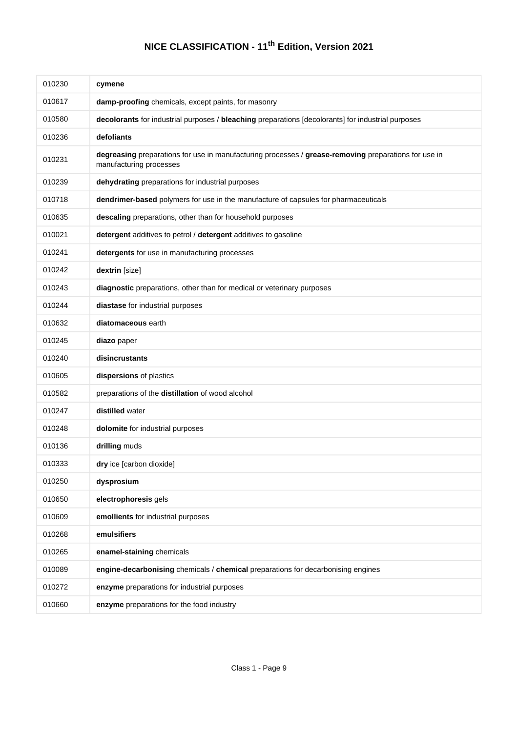| 010230 | cymene                                                                                                                          |
|--------|---------------------------------------------------------------------------------------------------------------------------------|
| 010617 | damp-proofing chemicals, except paints, for masonry                                                                             |
| 010580 | decolorants for industrial purposes / bleaching preparations [decolorants] for industrial purposes                              |
| 010236 | defoliants                                                                                                                      |
| 010231 | degreasing preparations for use in manufacturing processes / grease-removing preparations for use in<br>manufacturing processes |
| 010239 | dehydrating preparations for industrial purposes                                                                                |
| 010718 | dendrimer-based polymers for use in the manufacture of capsules for pharmaceuticals                                             |
| 010635 | descaling preparations, other than for household purposes                                                                       |
| 010021 | detergent additives to petrol / detergent additives to gasoline                                                                 |
| 010241 | detergents for use in manufacturing processes                                                                                   |
| 010242 | dextrin [size]                                                                                                                  |
| 010243 | diagnostic preparations, other than for medical or veterinary purposes                                                          |
| 010244 | diastase for industrial purposes                                                                                                |
| 010632 | diatomaceous earth                                                                                                              |
| 010245 | diazo paper                                                                                                                     |
| 010240 | disincrustants                                                                                                                  |
| 010605 | dispersions of plastics                                                                                                         |
| 010582 | preparations of the distillation of wood alcohol                                                                                |
| 010247 | distilled water                                                                                                                 |
| 010248 | dolomite for industrial purposes                                                                                                |
| 010136 | drilling muds                                                                                                                   |
| 010333 | dry ice [carbon dioxide]                                                                                                        |
| 010250 | dysprosium                                                                                                                      |
| 010650 | electrophoresis gels                                                                                                            |
| 010609 | emollients for industrial purposes                                                                                              |
| 010268 | emulsifiers                                                                                                                     |
| 010265 | enamel-staining chemicals                                                                                                       |
| 010089 | engine-decarbonising chemicals / chemical preparations for decarbonising engines                                                |
| 010272 | enzyme preparations for industrial purposes                                                                                     |
| 010660 | enzyme preparations for the food industry                                                                                       |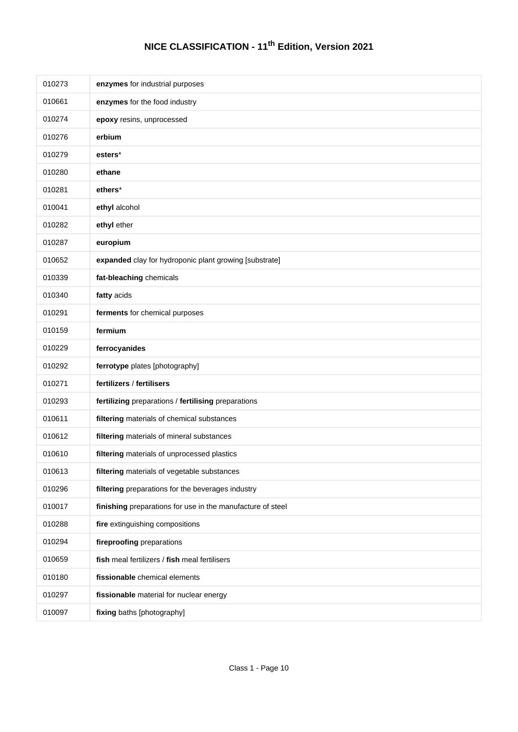| 010273 | enzymes for industrial purposes                            |
|--------|------------------------------------------------------------|
| 010661 | enzymes for the food industry                              |
| 010274 | epoxy resins, unprocessed                                  |
| 010276 | erbium                                                     |
| 010279 | esters*                                                    |
| 010280 | ethane                                                     |
| 010281 | ethers*                                                    |
| 010041 | ethyl alcohol                                              |
| 010282 | ethyl ether                                                |
| 010287 | europium                                                   |
| 010652 | expanded clay for hydroponic plant growing [substrate]     |
| 010339 | fat-bleaching chemicals                                    |
| 010340 | fatty acids                                                |
| 010291 | ferments for chemical purposes                             |
| 010159 | fermium                                                    |
| 010229 | ferrocyanides                                              |
| 010292 | ferrotype plates [photography]                             |
| 010271 | fertilizers / fertilisers                                  |
| 010293 | fertilizing preparations / fertilising preparations        |
| 010611 | filtering materials of chemical substances                 |
| 010612 | filtering materials of mineral substances                  |
| 010610 | filtering materials of unprocessed plastics                |
| 010613 | filtering materials of vegetable substances                |
| 010296 | filtering preparations for the beverages industry          |
| 010017 | finishing preparations for use in the manufacture of steel |
| 010288 | fire extinguishing compositions                            |
| 010294 | fireproofing preparations                                  |
| 010659 | fish meal fertilizers / fish meal fertilisers              |
| 010180 | fissionable chemical elements                              |
| 010297 | fissionable material for nuclear energy                    |
| 010097 | fixing baths [photography]                                 |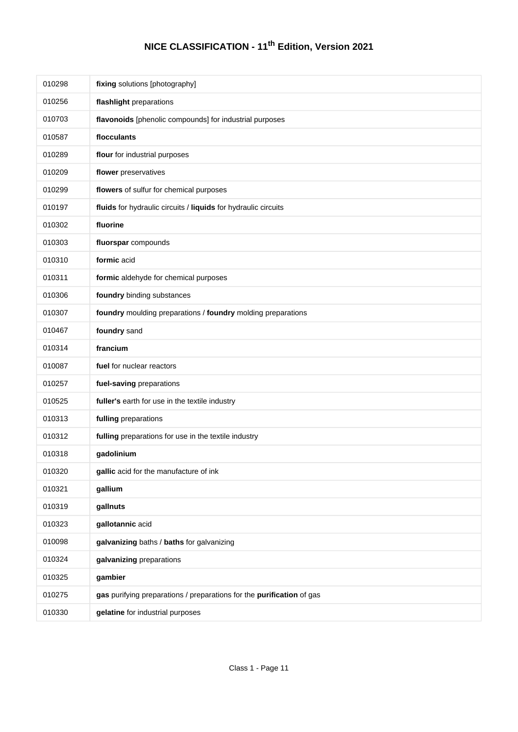| 010298 | fixing solutions [photography]                                        |
|--------|-----------------------------------------------------------------------|
| 010256 | flashlight preparations                                               |
| 010703 | flavonoids [phenolic compounds] for industrial purposes               |
| 010587 | flocculants                                                           |
| 010289 | flour for industrial purposes                                         |
| 010209 | flower preservatives                                                  |
| 010299 | flowers of sulfur for chemical purposes                               |
| 010197 | fluids for hydraulic circuits / liquids for hydraulic circuits        |
| 010302 | fluorine                                                              |
| 010303 | fluorspar compounds                                                   |
| 010310 | formic acid                                                           |
| 010311 | formic aldehyde for chemical purposes                                 |
| 010306 | foundry binding substances                                            |
| 010307 | foundry moulding preparations / foundry molding preparations          |
| 010467 | foundry sand                                                          |
| 010314 | francium                                                              |
| 010087 | fuel for nuclear reactors                                             |
| 010257 | fuel-saving preparations                                              |
| 010525 | fuller's earth for use in the textile industry                        |
| 010313 | fulling preparations                                                  |
| 010312 | fulling preparations for use in the textile industry                  |
| 010318 | gadolinium                                                            |
| 010320 | gallic acid for the manufacture of ink                                |
| 010321 | gallium                                                               |
| 010319 | gallnuts                                                              |
| 010323 | gallotannic acid                                                      |
| 010098 | galvanizing baths / baths for galvanizing                             |
| 010324 | galvanizing preparations                                              |
| 010325 | gambier                                                               |
| 010275 | gas purifying preparations / preparations for the purification of gas |
| 010330 | gelatine for industrial purposes                                      |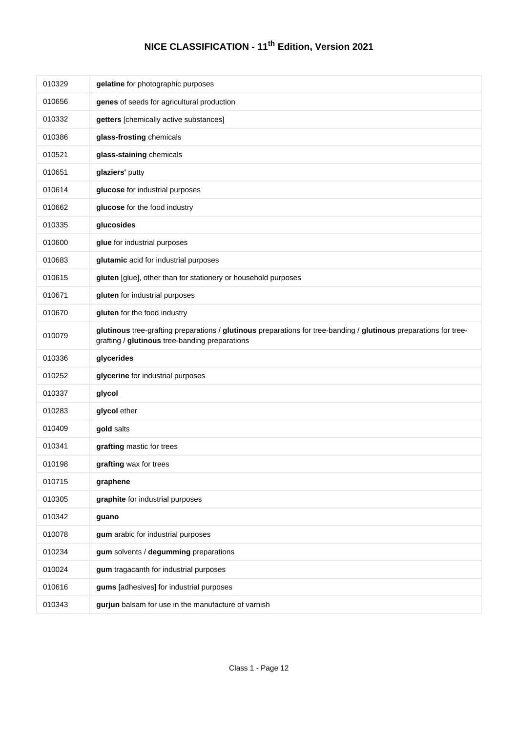| 010329 | gelatine for photographic purposes                                                                                                                                  |
|--------|---------------------------------------------------------------------------------------------------------------------------------------------------------------------|
| 010656 | genes of seeds for agricultural production                                                                                                                          |
| 010332 | getters [chemically active substances]                                                                                                                              |
| 010386 | glass-frosting chemicals                                                                                                                                            |
| 010521 | glass-staining chemicals                                                                                                                                            |
| 010651 | glaziers' putty                                                                                                                                                     |
| 010614 | glucose for industrial purposes                                                                                                                                     |
| 010662 | glucose for the food industry                                                                                                                                       |
| 010335 | glucosides                                                                                                                                                          |
| 010600 | glue for industrial purposes                                                                                                                                        |
| 010683 | glutamic acid for industrial purposes                                                                                                                               |
| 010615 | gluten [glue], other than for stationery or household purposes                                                                                                      |
| 010671 | gluten for industrial purposes                                                                                                                                      |
| 010670 | gluten for the food industry                                                                                                                                        |
| 010079 | glutinous tree-grafting preparations / glutinous preparations for tree-banding / glutinous preparations for tree-<br>grafting / glutinous tree-banding preparations |
|        |                                                                                                                                                                     |
| 010336 | glycerides                                                                                                                                                          |
| 010252 | glycerine for industrial purposes                                                                                                                                   |
| 010337 | glycol                                                                                                                                                              |
| 010283 | glycol ether                                                                                                                                                        |
| 010409 | gold salts                                                                                                                                                          |
| 010341 | grafting mastic for trees                                                                                                                                           |
| 010198 | grafting wax for trees                                                                                                                                              |
| 010715 | graphene                                                                                                                                                            |
| 010305 | graphite for industrial purposes                                                                                                                                    |
| 010342 | guano                                                                                                                                                               |
| 010078 | gum arabic for industrial purposes                                                                                                                                  |
| 010234 | gum solvents / degumming preparations                                                                                                                               |
| 010024 | gum tragacanth for industrial purposes                                                                                                                              |
| 010616 | gums [adhesives] for industrial purposes                                                                                                                            |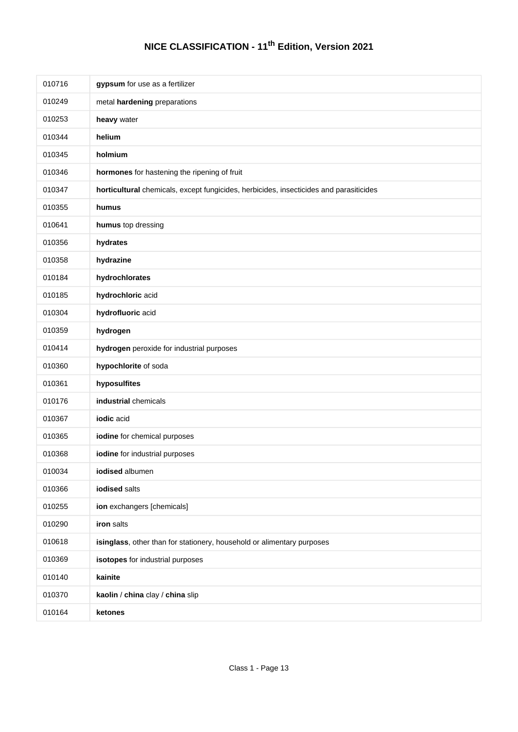| 010716 | gypsum for use as a fertilizer                                                         |
|--------|----------------------------------------------------------------------------------------|
| 010249 | metal hardening preparations                                                           |
| 010253 | heavy water                                                                            |
| 010344 | helium                                                                                 |
| 010345 | holmium                                                                                |
| 010346 | hormones for hastening the ripening of fruit                                           |
| 010347 | horticultural chemicals, except fungicides, herbicides, insecticides and parasiticides |
| 010355 | humus                                                                                  |
| 010641 | humus top dressing                                                                     |
| 010356 | hydrates                                                                               |
| 010358 | hydrazine                                                                              |
| 010184 | hydrochlorates                                                                         |
| 010185 | hydrochloric acid                                                                      |
| 010304 | hydrofluoric acid                                                                      |
| 010359 | hydrogen                                                                               |
| 010414 | hydrogen peroxide for industrial purposes                                              |
| 010360 | hypochlorite of soda                                                                   |
| 010361 | hyposulfites                                                                           |
| 010176 | industrial chemicals                                                                   |
| 010367 | iodic acid                                                                             |
| 010365 | iodine for chemical purposes                                                           |
| 010368 | iodine for industrial purposes                                                         |
| 010034 | iodised albumen                                                                        |
| 010366 | iodised salts                                                                          |
| 010255 | ion exchangers [chemicals]                                                             |
| 010290 | iron salts                                                                             |
| 010618 | isinglass, other than for stationery, household or alimentary purposes                 |
| 010369 | isotopes for industrial purposes                                                       |
| 010140 | kainite                                                                                |
| 010370 | kaolin / china clay / china slip                                                       |
| 010164 | ketones                                                                                |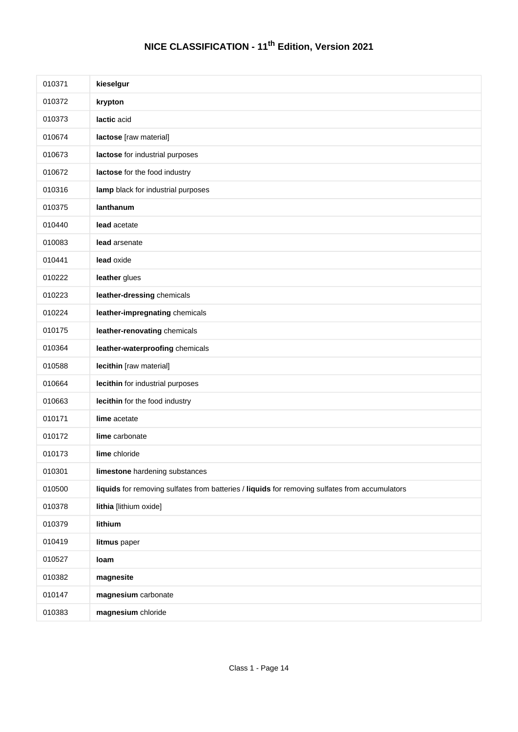| 010371 | kieselgur                                                                                      |
|--------|------------------------------------------------------------------------------------------------|
| 010372 | krypton                                                                                        |
| 010373 | lactic acid                                                                                    |
| 010674 | lactose [raw material]                                                                         |
| 010673 | lactose for industrial purposes                                                                |
| 010672 | lactose for the food industry                                                                  |
| 010316 | lamp black for industrial purposes                                                             |
| 010375 | lanthanum                                                                                      |
| 010440 | lead acetate                                                                                   |
| 010083 | lead arsenate                                                                                  |
| 010441 | lead oxide                                                                                     |
| 010222 | leather glues                                                                                  |
| 010223 | leather-dressing chemicals                                                                     |
| 010224 | leather-impregnating chemicals                                                                 |
| 010175 | leather-renovating chemicals                                                                   |
| 010364 | leather-waterproofing chemicals                                                                |
| 010588 | lecithin [raw material]                                                                        |
| 010664 | lecithin for industrial purposes                                                               |
| 010663 | lecithin for the food industry                                                                 |
| 010171 | lime acetate                                                                                   |
| 010172 | lime carbonate                                                                                 |
| 010173 | lime chloride                                                                                  |
| 010301 | limestone hardening substances                                                                 |
| 010500 | liquids for removing sulfates from batteries / liquids for removing sulfates from accumulators |
| 010378 | lithia [lithium oxide]                                                                         |
| 010379 | lithium                                                                                        |
| 010419 | litmus paper                                                                                   |
| 010527 | loam                                                                                           |
| 010382 | magnesite                                                                                      |
| 010147 | magnesium carbonate                                                                            |
| 010383 | magnesium chloride                                                                             |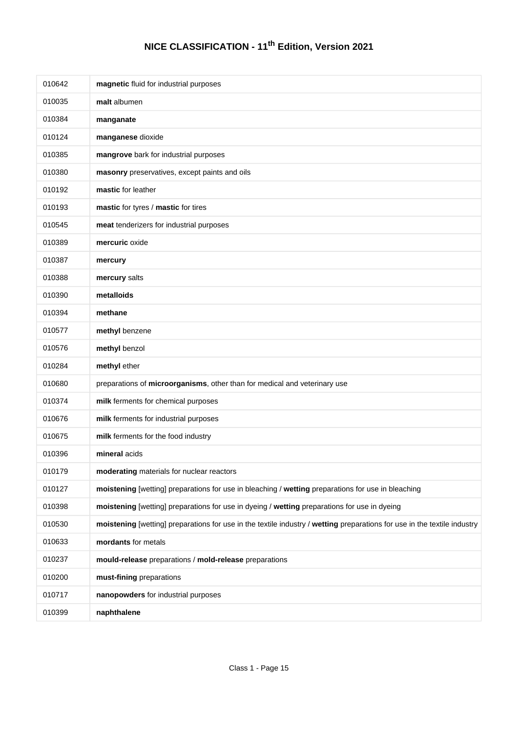| 010642 | magnetic fluid for industrial purposes                                                                                   |
|--------|--------------------------------------------------------------------------------------------------------------------------|
| 010035 | malt albumen                                                                                                             |
| 010384 | manganate                                                                                                                |
| 010124 | manganese dioxide                                                                                                        |
| 010385 | mangrove bark for industrial purposes                                                                                    |
| 010380 | masonry preservatives, except paints and oils                                                                            |
| 010192 | mastic for leather                                                                                                       |
| 010193 | mastic for tyres / mastic for tires                                                                                      |
| 010545 | meat tenderizers for industrial purposes                                                                                 |
| 010389 | mercuric oxide                                                                                                           |
| 010387 | mercury                                                                                                                  |
| 010388 | mercury salts                                                                                                            |
| 010390 | metalloids                                                                                                               |
| 010394 | methane                                                                                                                  |
| 010577 | methyl benzene                                                                                                           |
| 010576 | methyl benzol                                                                                                            |
| 010284 | methyl ether                                                                                                             |
| 010680 | preparations of microorganisms, other than for medical and veterinary use                                                |
| 010374 | milk ferments for chemical purposes                                                                                      |
| 010676 | milk ferments for industrial purposes                                                                                    |
| 010675 | milk ferments for the food industry                                                                                      |
| 010396 | mineral acids                                                                                                            |
| 010179 | moderating materials for nuclear reactors                                                                                |
| 010127 | moistening [wetting] preparations for use in bleaching / wetting preparations for use in bleaching                       |
| 010398 | moistening [wetting] preparations for use in dyeing / wetting preparations for use in dyeing                             |
| 010530 | moistening [wetting] preparations for use in the textile industry / wetting preparations for use in the textile industry |
| 010633 | mordants for metals                                                                                                      |
| 010237 | mould-release preparations / mold-release preparations                                                                   |
| 010200 | must-fining preparations                                                                                                 |
| 010717 | nanopowders for industrial purposes                                                                                      |
| 010399 | naphthalene                                                                                                              |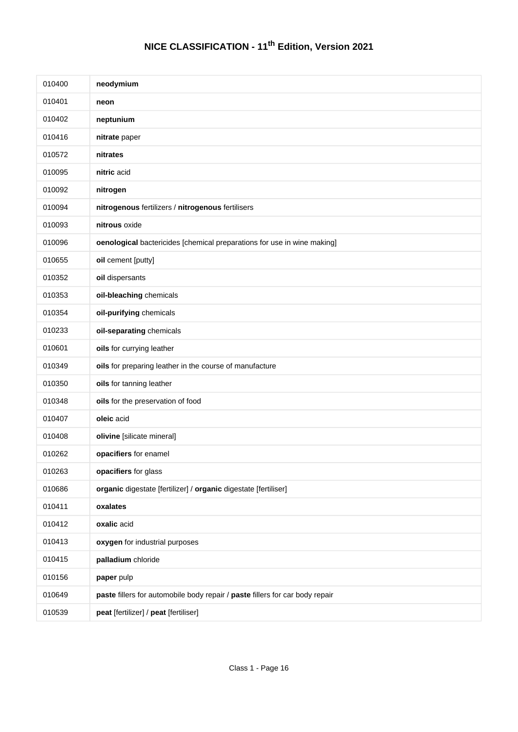| 010400 | neodymium                                                                    |
|--------|------------------------------------------------------------------------------|
| 010401 | neon                                                                         |
| 010402 | neptunium                                                                    |
| 010416 | nitrate paper                                                                |
| 010572 | nitrates                                                                     |
| 010095 | nitric acid                                                                  |
| 010092 | nitrogen                                                                     |
| 010094 | nitrogenous fertilizers / nitrogenous fertilisers                            |
| 010093 | nitrous oxide                                                                |
| 010096 | oenological bactericides [chemical preparations for use in wine making]      |
| 010655 | oil cement [putty]                                                           |
| 010352 | oil dispersants                                                              |
| 010353 | oil-bleaching chemicals                                                      |
| 010354 | oil-purifying chemicals                                                      |
| 010233 | oil-separating chemicals                                                     |
| 010601 | oils for currying leather                                                    |
| 010349 | oils for preparing leather in the course of manufacture                      |
| 010350 | oils for tanning leather                                                     |
| 010348 | oils for the preservation of food                                            |
| 010407 | oleic acid                                                                   |
| 010408 | olivine [silicate mineral]                                                   |
| 010262 | opacifiers for enamel                                                        |
| 010263 | opacifiers for glass                                                         |
| 010686 | organic digestate [fertilizer] / organic digestate [fertiliser]              |
| 010411 | oxalates                                                                     |
| 010412 | oxalic acid                                                                  |
| 010413 | oxygen for industrial purposes                                               |
| 010415 | palladium chloride                                                           |
| 010156 | paper pulp                                                                   |
| 010649 | paste fillers for automobile body repair / paste fillers for car body repair |
| 010539 | peat [fertilizer] / peat [fertiliser]                                        |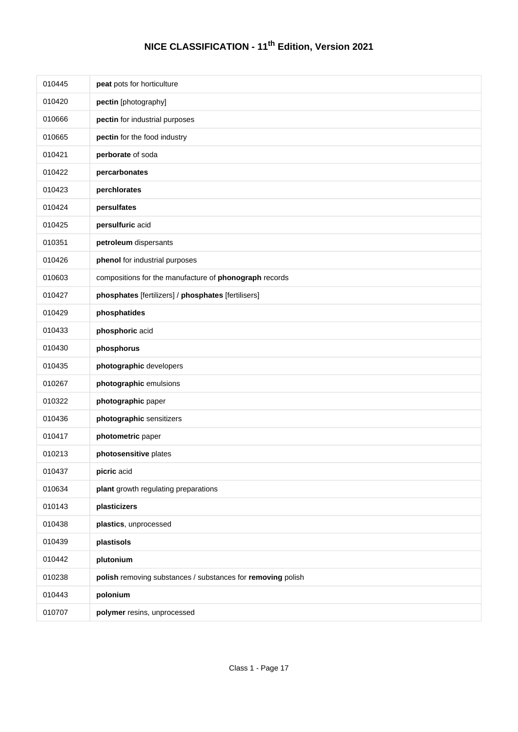| 010445 | peat pots for horticulture                                  |
|--------|-------------------------------------------------------------|
| 010420 | pectin [photography]                                        |
| 010666 | pectin for industrial purposes                              |
| 010665 | pectin for the food industry                                |
| 010421 | perborate of soda                                           |
| 010422 | percarbonates                                               |
| 010423 | perchlorates                                                |
| 010424 | persulfates                                                 |
| 010425 | persulfuric acid                                            |
| 010351 | petroleum dispersants                                       |
| 010426 | phenol for industrial purposes                              |
| 010603 | compositions for the manufacture of phonograph records      |
| 010427 | phosphates [fertilizers] / phosphates [fertilisers]         |
| 010429 | phosphatides                                                |
| 010433 | phosphoric acid                                             |
| 010430 | phosphorus                                                  |
| 010435 | photographic developers                                     |
| 010267 | photographic emulsions                                      |
| 010322 | photographic paper                                          |
| 010436 | photographic sensitizers                                    |
| 010417 | photometric paper                                           |
| 010213 | photosensitive plates                                       |
| 010437 | picric acid                                                 |
| 010634 | plant growth regulating preparations                        |
| 010143 | plasticizers                                                |
| 010438 | plastics, unprocessed                                       |
| 010439 | plastisols                                                  |
| 010442 | plutonium                                                   |
| 010238 | polish removing substances / substances for removing polish |
| 010443 | polonium                                                    |
| 010707 | polymer resins, unprocessed                                 |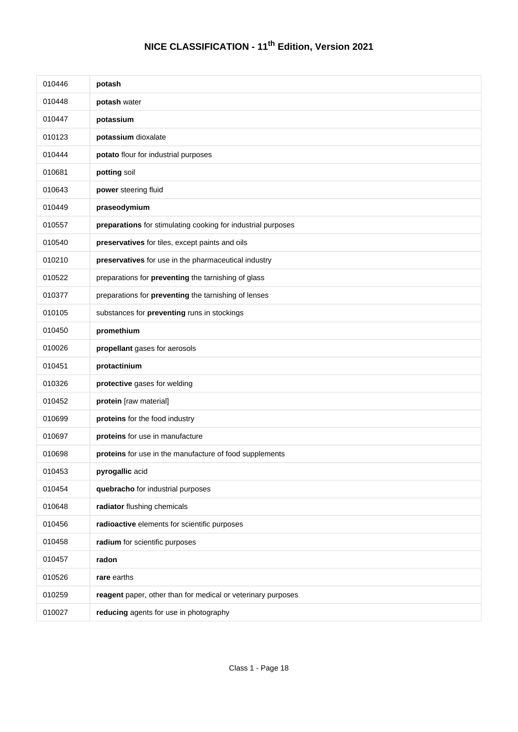| 010446 | potash                                                       |
|--------|--------------------------------------------------------------|
| 010448 | potash water                                                 |
| 010447 | potassium                                                    |
| 010123 | potassium dioxalate                                          |
| 010444 | potato flour for industrial purposes                         |
| 010681 | potting soil                                                 |
| 010643 | power steering fluid                                         |
| 010449 | praseodymium                                                 |
| 010557 | preparations for stimulating cooking for industrial purposes |
| 010540 | preservatives for tiles, except paints and oils              |
| 010210 | preservatives for use in the pharmaceutical industry         |
| 010522 | preparations for preventing the tarnishing of glass          |
| 010377 | preparations for preventing the tarnishing of lenses         |
| 010105 | substances for preventing runs in stockings                  |
| 010450 | promethium                                                   |
| 010026 | propellant gases for aerosols                                |
| 010451 | protactinium                                                 |
| 010326 | protective gases for welding                                 |
| 010452 | protein [raw material]                                       |
| 010699 | proteins for the food industry                               |
| 010697 | proteins for use in manufacture                              |
| 010698 | proteins for use in the manufacture of food supplements      |
| 010453 | pyrogallic acid                                              |
| 010454 | quebracho for industrial purposes                            |
| 010648 | radiator flushing chemicals                                  |
| 010456 | radioactive elements for scientific purposes                 |
| 010458 | radium for scientific purposes                               |
| 010457 | radon                                                        |
| 010526 | rare earths                                                  |
| 010259 | reagent paper, other than for medical or veterinary purposes |
| 010027 | reducing agents for use in photography                       |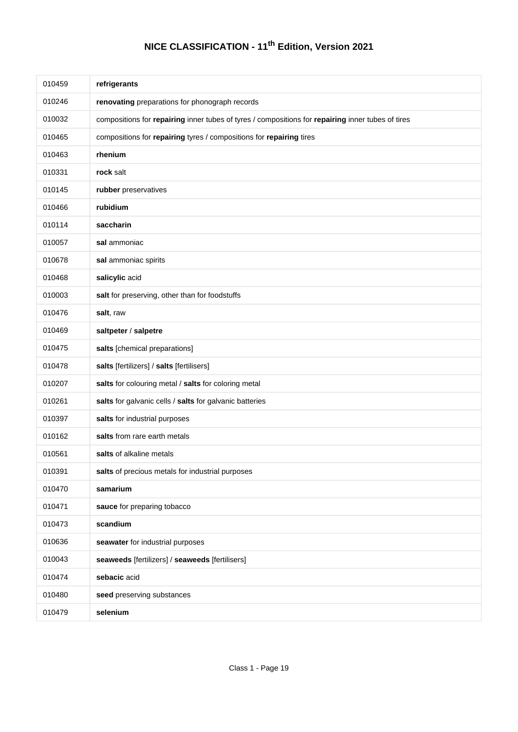| 010459 | refrigerants                                                                                      |
|--------|---------------------------------------------------------------------------------------------------|
| 010246 | renovating preparations for phonograph records                                                    |
| 010032 | compositions for repairing inner tubes of tyres / compositions for repairing inner tubes of tires |
| 010465 | compositions for repairing tyres / compositions for repairing tires                               |
| 010463 | rhenium                                                                                           |
| 010331 | rock salt                                                                                         |
| 010145 | rubber preservatives                                                                              |
| 010466 | rubidium                                                                                          |
| 010114 | saccharin                                                                                         |
| 010057 | sal ammoniac                                                                                      |
| 010678 | sal ammoniac spirits                                                                              |
| 010468 | salicylic acid                                                                                    |
| 010003 | salt for preserving, other than for foodstuffs                                                    |
| 010476 | salt, raw                                                                                         |
| 010469 | saltpeter / salpetre                                                                              |
| 010475 | salts [chemical preparations]                                                                     |
| 010478 | salts [fertilizers] / salts [fertilisers]                                                         |
| 010207 | salts for colouring metal / salts for coloring metal                                              |
| 010261 | salts for galvanic cells / salts for galvanic batteries                                           |
| 010397 | salts for industrial purposes                                                                     |
| 010162 | salts from rare earth metals                                                                      |
| 010561 | salts of alkaline metals                                                                          |
| 010391 | salts of precious metals for industrial purposes                                                  |
| 010470 | samarium                                                                                          |
| 010471 | sauce for preparing tobacco                                                                       |
| 010473 | scandium                                                                                          |
| 010636 | seawater for industrial purposes                                                                  |
| 010043 | seaweeds [fertilizers] / seaweeds [fertilisers]                                                   |
| 010474 | sebacic acid                                                                                      |
| 010480 | seed preserving substances                                                                        |
| 010479 | selenium                                                                                          |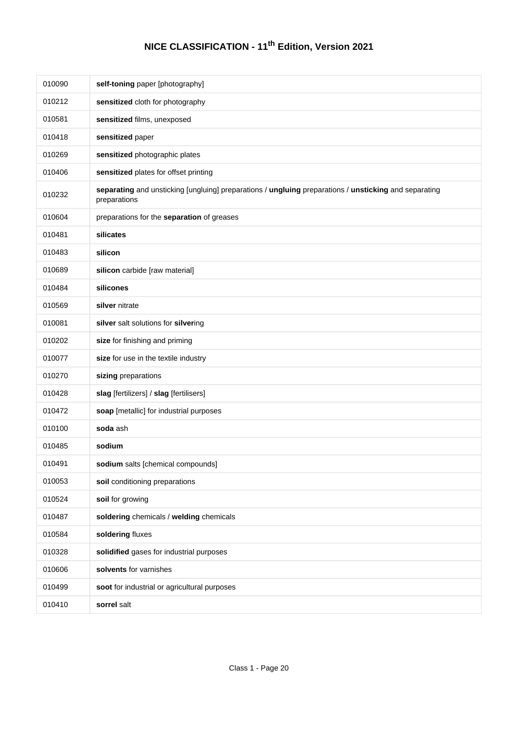| 010090 | self-toning paper [photography]                                                                                       |
|--------|-----------------------------------------------------------------------------------------------------------------------|
| 010212 | sensitized cloth for photography                                                                                      |
| 010581 | sensitized films, unexposed                                                                                           |
| 010418 | sensitized paper                                                                                                      |
| 010269 | sensitized photographic plates                                                                                        |
| 010406 | sensitized plates for offset printing                                                                                 |
| 010232 | separating and unsticking [ungluing] preparations / ungluing preparations / unsticking and separating<br>preparations |
| 010604 | preparations for the separation of greases                                                                            |
| 010481 | silicates                                                                                                             |
| 010483 | silicon                                                                                                               |
| 010689 | silicon carbide [raw material]                                                                                        |
| 010484 | silicones                                                                                                             |
| 010569 | silver nitrate                                                                                                        |
| 010081 | silver salt solutions for silvering                                                                                   |
| 010202 | size for finishing and priming                                                                                        |
| 010077 | size for use in the textile industry                                                                                  |
| 010270 | sizing preparations                                                                                                   |
| 010428 | slag [fertilizers] / slag [fertilisers]                                                                               |
| 010472 | soap [metallic] for industrial purposes                                                                               |
| 010100 | soda ash                                                                                                              |
| 010485 | sodium                                                                                                                |
| 010491 | sodium salts [chemical compounds]                                                                                     |
| 010053 | soil conditioning preparations                                                                                        |
| 010524 | soil for growing                                                                                                      |
| 010487 | soldering chemicals / welding chemicals                                                                               |
| 010584 | soldering fluxes                                                                                                      |
| 010328 | solidified gases for industrial purposes                                                                              |
| 010606 | solvents for varnishes                                                                                                |
| 010499 | soot for industrial or agricultural purposes                                                                          |
| 010410 | sorrel salt                                                                                                           |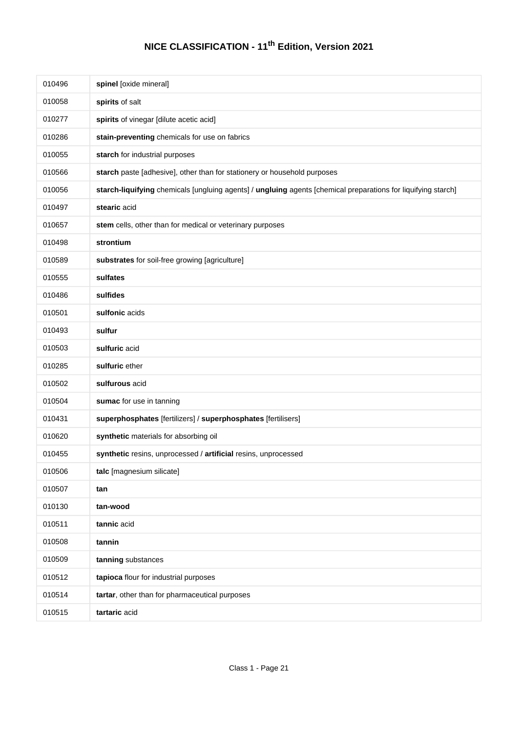| 010496 | spinel [oxide mineral]                                                                                        |
|--------|---------------------------------------------------------------------------------------------------------------|
| 010058 | spirits of salt                                                                                               |
| 010277 | spirits of vinegar [dilute acetic acid]                                                                       |
| 010286 | stain-preventing chemicals for use on fabrics                                                                 |
| 010055 | starch for industrial purposes                                                                                |
| 010566 | starch paste [adhesive], other than for stationery or household purposes                                      |
| 010056 | starch-liquifying chemicals [ungluing agents] / ungluing agents [chemical preparations for liquifying starch] |
| 010497 | stearic acid                                                                                                  |
| 010657 | stem cells, other than for medical or veterinary purposes                                                     |
| 010498 | strontium                                                                                                     |
| 010589 | substrates for soil-free growing [agriculture]                                                                |
| 010555 | sulfates                                                                                                      |
| 010486 | sulfides                                                                                                      |
| 010501 | sulfonic acids                                                                                                |
| 010493 | sulfur                                                                                                        |
| 010503 | sulfuric acid                                                                                                 |
| 010285 | sulfuric ether                                                                                                |
| 010502 | sulfurous acid                                                                                                |
| 010504 | sumac for use in tanning                                                                                      |
| 010431 | superphosphates [fertilizers] / superphosphates [fertilisers]                                                 |
| 010620 | synthetic materials for absorbing oil                                                                         |
| 010455 | synthetic resins, unprocessed / artificial resins, unprocessed                                                |
| 010506 | talc [magnesium silicate]                                                                                     |
| 010507 | tan                                                                                                           |
| 010130 | tan-wood                                                                                                      |
| 010511 | tannic acid                                                                                                   |
| 010508 | tannin                                                                                                        |
| 010509 | tanning substances                                                                                            |
| 010512 | tapioca flour for industrial purposes                                                                         |
| 010514 | tartar, other than for pharmaceutical purposes                                                                |
| 010515 | tartaric acid                                                                                                 |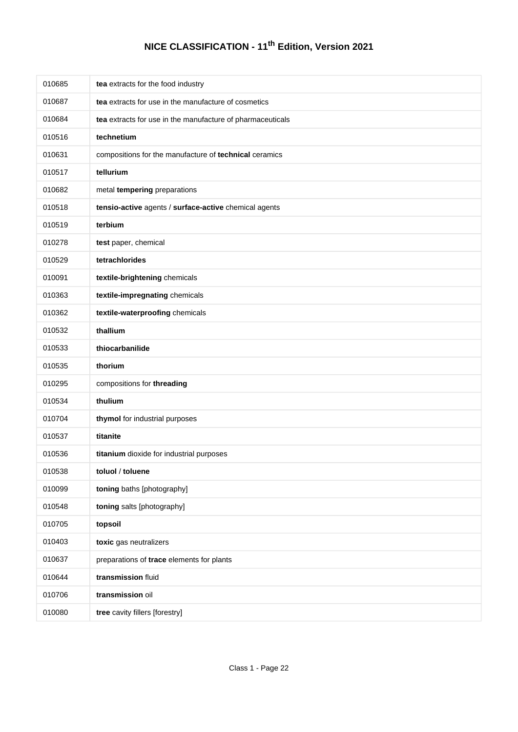| 010685 | tea extracts for the food industry                         |
|--------|------------------------------------------------------------|
| 010687 | tea extracts for use in the manufacture of cosmetics       |
| 010684 | tea extracts for use in the manufacture of pharmaceuticals |
| 010516 | technetium                                                 |
| 010631 | compositions for the manufacture of technical ceramics     |
| 010517 | tellurium                                                  |
| 010682 | metal tempering preparations                               |
| 010518 | tensio-active agents / surface-active chemical agents      |
| 010519 | terbium                                                    |
| 010278 | test paper, chemical                                       |
| 010529 | tetrachlorides                                             |
| 010091 | textile-brightening chemicals                              |
| 010363 | textile-impregnating chemicals                             |
| 010362 | textile-waterproofing chemicals                            |
| 010532 | thallium                                                   |
| 010533 | thiocarbanilide                                            |
| 010535 | thorium                                                    |
| 010295 | compositions for threading                                 |
| 010534 | thulium                                                    |
| 010704 | thymol for industrial purposes                             |
| 010537 | titanite                                                   |
| 010536 | titanium dioxide for industrial purposes                   |
| 010538 | toluol / toluene                                           |
| 010099 | toning baths [photography]                                 |
| 010548 | toning salts [photography]                                 |
| 010705 | topsoil                                                    |
| 010403 | toxic gas neutralizers                                     |
| 010637 | preparations of trace elements for plants                  |
| 010644 | transmission fluid                                         |
| 010706 | transmission oil                                           |
| 010080 | tree cavity fillers [forestry]                             |